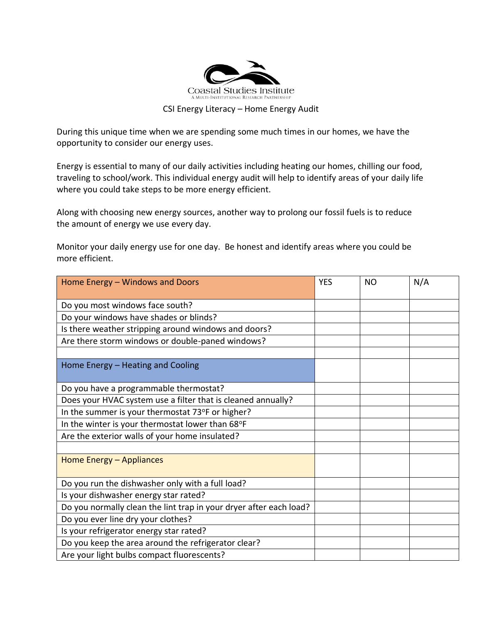

## CSI Energy Literacy – Home Energy Audit

During this unique time when we are spending some much times in our homes, we have the opportunity to consider our energy uses.

Energy is essential to many of our daily activities including heating our homes, chilling our food, traveling to school/work. This individual energy audit will help to identify areas of your daily life where you could take steps to be more energy efficient.

Along with choosing new energy sources, another way to prolong our fossil fuels is to reduce the amount of energy we use every day.

Monitor your daily energy use for one day. Be honest and identify areas where you could be more efficient.

| Home Energy - Windows and Doors                                    | <b>YES</b> | <b>NO</b> | N/A |
|--------------------------------------------------------------------|------------|-----------|-----|
|                                                                    |            |           |     |
| Do you most windows face south?                                    |            |           |     |
| Do your windows have shades or blinds?                             |            |           |     |
| Is there weather stripping around windows and doors?               |            |           |     |
| Are there storm windows or double-paned windows?                   |            |           |     |
|                                                                    |            |           |     |
| Home Energy - Heating and Cooling                                  |            |           |     |
|                                                                    |            |           |     |
| Do you have a programmable thermostat?                             |            |           |     |
| Does your HVAC system use a filter that is cleaned annually?       |            |           |     |
| In the summer is your thermostat 73°F or higher?                   |            |           |     |
| In the winter is your thermostat lower than 68°F                   |            |           |     |
| Are the exterior walls of your home insulated?                     |            |           |     |
|                                                                    |            |           |     |
| Home Energy - Appliances                                           |            |           |     |
|                                                                    |            |           |     |
| Do you run the dishwasher only with a full load?                   |            |           |     |
| Is your dishwasher energy star rated?                              |            |           |     |
| Do you normally clean the lint trap in your dryer after each load? |            |           |     |
| Do you ever line dry your clothes?                                 |            |           |     |
| Is your refrigerator energy star rated?                            |            |           |     |
| Do you keep the area around the refrigerator clear?                |            |           |     |
| Are your light bulbs compact fluorescents?                         |            |           |     |